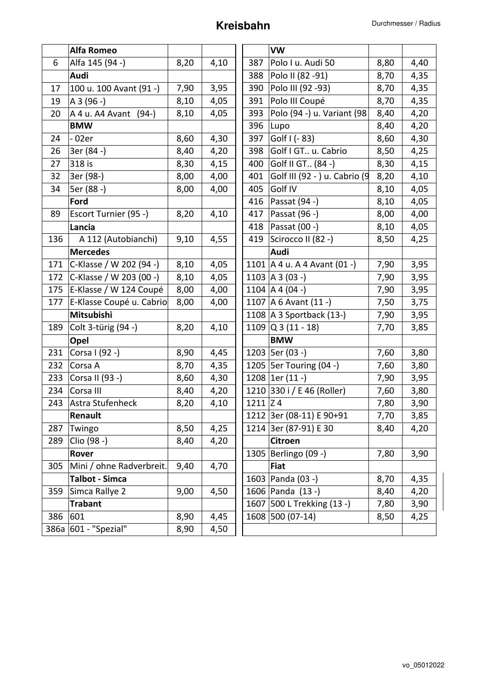## Kreisbahn Durchmesser / Radius

|      | Alfa Romeo               |      |      |            | <b>VW</b>                        |      |      |
|------|--------------------------|------|------|------------|----------------------------------|------|------|
| 6    | Alfa 145 (94 -)          | 8,20 | 4,10 | 387        | Polo I u. Audi 50                | 8,80 | 4,40 |
|      | Audi                     |      |      | 388        | Polo II (82 - 91)                | 8,70 | 4,35 |
| 17   | 100 u. 100 Avant (91 -)  | 7,90 | 3,95 | 390        | Polo III (92 - 93)               | 8,70 | 4,35 |
| 19   | A 3 (96 -)               | 8,10 | 4,05 | 391        | Polo III Coupé                   | 8,70 | 4,35 |
| 20   | A 4 u. A 4 Avant (94-)   | 8,10 | 4,05 | 393        | Polo (94 -) u. Variant (98       | 8,40 | 4,20 |
|      | <b>BMW</b>               |      |      | 396        | Lupo                             | 8,40 | 4,20 |
| 24   | $-02er$                  | 8,60 | 4,30 | 397        | Golf $($ - 83 $)$                | 8,60 | 4,30 |
| 26   | 3er (84 -)               | 8,40 | 4,20 | 398        | Golf I GT u. Cabrio              | 8,50 | 4,25 |
| 27   | 318 is                   | 8,30 | 4,15 | 400        | Golf II GT (84 -)                | 8,30 | 4,15 |
| 32   | 3er (98-)                | 8,00 | 4,00 | 401        | Golf III (92 - ) u. Cabrio (9    | 8,20 | 4,10 |
| 34   | 5er (88 -)               | 8,00 | 4,00 | 405        | Golf IV                          | 8,10 | 4,05 |
|      | Ford                     |      |      | 416        | Passat (94 -)                    | 8,10 | 4,05 |
| 89   | Escort Turnier (95 -)    | 8,20 | 4,10 | 417        | Passat (96 -)                    | 8,00 | 4,00 |
|      | Lancia                   |      |      | 418        | Passat (00 -)                    | 8,10 | 4,05 |
| 136  | A 112 (Autobianchi)      | 9,10 | 4,55 | 419        | Scirocco II (82 -)               | 8,50 | 4,25 |
|      | <b>Mercedes</b>          |      |      |            | Audi                             |      |      |
| 171  | C-Klasse / W 202 (94 -)  | 8,10 | 4,05 |            | 1101   A 4 u. A 4 Avant $(01 -)$ | 7,90 | 3,95 |
| 172  | C-Klasse / W 203 (00 -)  | 8,10 | 4,05 |            | $1103$  A 3 (03 -)               | 7,90 | 3,95 |
| 175  | E-Klasse / W 124 Coupé   | 8,00 | 4,00 |            | 1104 A 4 (04 -)                  | 7,90 | 3,95 |
| 177  | E-Klasse Coupé u. Cabrio | 8,00 | 4,00 |            | 1107 A 6 Avant (11 -)            | 7,50 | 3,75 |
|      | Mitsubishi               |      |      |            | 1108   A 3 Sportback (13-)       | 7,90 | 3,95 |
| 189  | Colt 3-türig (94 -)      | 8,20 | 4,10 |            | $1109$ Q 3 (11 - 18)             | 7,70 | 3,85 |
|      | Opel                     |      |      |            | <b>BMW</b>                       |      |      |
| 231  | Corsa I (92 -)           | 8,90 | 4,45 |            | 1203   5er (03 -)                | 7,60 | 3,80 |
| 232  | Corsa A                  | 8,70 | 4,35 |            | 1205   5er Touring (04 -)        | 7,60 | 3,80 |
| 233  | Corsa II (93 -)          | 8,60 | 4,30 |            | $1208$ 1er (11 -)                | 7,90 | 3,95 |
| 234  | Corsa III                | 8,40 | 4,20 |            | 1210 330 i / E 46 (Roller)       | 7,60 | 3,80 |
| 243  | Astra Stufenheck         | 8,20 | 4,10 | $1211$ Z 4 |                                  | 7,80 | 3,90 |
|      | Renault                  |      |      |            | 1212 3er (08-11) E 90+91         | 7,70 | 3,85 |
| 287  | Twingo                   | 8,50 | 4,25 |            | 1214 3er (87-91) E 30            | 8,40 | 4,20 |
| 289  | Clio (98 -)              | 8,40 | 4,20 |            | Citroen                          |      |      |
|      | Rover                    |      |      |            | 1305 Berlingo (09 -)             | 7,80 | 3,90 |
| 305  | Mini / ohne Radverbreit. | 9,40 | 4,70 |            | <b>Fiat</b>                      |      |      |
|      | <b>Talbot - Simca</b>    |      |      |            | 1603   Panda (03 -)              | 8,70 | 4,35 |
| 359  | Simca Rallye 2           | 9,00 | 4,50 |            | 1606 Panda (13 -)                | 8,40 | 4,20 |
|      | <b>Trabant</b>           |      |      |            | 1607 500 L Trekking (13 -)       | 7,80 | 3,90 |
| 386  | 601                      | 8,90 | 4,45 |            | 1608 500 (07-14)                 | 8,50 | 4,25 |
| 386a | 601 - "Spezial"          | 8,90 | 4,50 |            |                                  |      |      |
|      |                          |      |      |            |                                  |      |      |

| Alfa Romeo               |      |      |              | <b>VW</b>                        |      |      |
|--------------------------|------|------|--------------|----------------------------------|------|------|
| Alfa 145 (94 -)          | 8,20 | 4,10 | 387          | Polo I u. Audi 50                | 8,80 | 4,40 |
| Audi                     |      |      | 388          | Polo II (82 - 91)                | 8,70 | 4,35 |
| 100 u. 100 Avant (91 -)  | 7,90 | 3,95 | 390          | Polo III (92 - 93)               | 8,70 | 4,35 |
| A 3 (96 -)               | 8,10 | 4,05 | 391          | Polo III Coupé                   | 8,70 | 4,35 |
| A 4 u. A4 Avant (94-)    | 8,10 | 4,05 | 393          | Polo (94 -) u. Variant (98       | 8,40 | 4,20 |
| <b>BMW</b>               |      |      | 396          | Lupo                             | 8,40 | 4,20 |
| - 02er                   | 8,60 | 4,30 | 397          | Golf I (- 83)                    | 8,60 | 4,30 |
| 3er (84 -)               | 8,40 | 4,20 | 398          | Golf I GT u. Cabrio              | 8,50 | 4,25 |
| 318 is                   | 8,30 | 4,15 | 400          | Golf II GT (84 -)                | 8,30 | 4,15 |
| 3er (98-)                | 8,00 | 4,00 | 401          | Golf III (92 - ) u. Cabrio (9    | 8,20 | 4,10 |
| 5er (88 -)               | 8,00 | 4,00 | 405          | Golf IV                          | 8,10 | 4,05 |
| Ford                     |      |      | 416          | Passat (94 -)                    | 8,10 | 4,05 |
| Escort Turnier (95 -)    | 8,20 | 4,10 | 417          | Passat (96 -)                    | 8,00 | 4,00 |
| Lancia                   |      |      | 418          | Passat (00 -)                    | 8,10 | 4,05 |
| A 112 (Autobianchi)      | 9,10 | 4,55 | 419          | Scirocco II (82 -)               | 8,50 | 4,25 |
| <b>Mercedes</b>          |      |      |              | Audi                             |      |      |
| C-Klasse / W 202 (94 -)  | 8,10 | 4,05 |              | 1101   A 4 u. A 4 Avant $(01 -)$ | 7,90 | 3,95 |
| C-Klasse / W 203 (00 -)  | 8,10 | 4,05 |              | $1103$  A 3 (03 -)               | 7,90 | 3,95 |
| E-Klasse / W 124 Coupé   | 8,00 | 4,00 |              | 1104   A 4 (04 -)                | 7,90 | 3,95 |
| E-Klasse Coupé u. Cabrio | 8,00 | 4,00 |              | 1107   A 6 Avant $(11 - )$       | 7,50 | 3,75 |
| Mitsubishi               |      |      |              | 1108   A 3 Sportback $(13-)$     | 7,90 | 3,95 |
| Colt 3-türig (94 -)      | 8,20 | 4,10 |              | $1109$ Q 3 (11 - 18)             | 7,70 | 3,85 |
| <b>Opel</b>              |      |      |              | <b>BMW</b>                       |      |      |
| Corsa I (92 -)           | 8,90 | 4,45 |              | 1203   5er (03 -)                | 7,60 | 3,80 |
| Corsa A                  | 8,70 | 4,35 |              | 1205   5er Touring (04 -)        | 7,60 | 3,80 |
| Corsa II (93 -)          | 8,60 | 4,30 |              | $1208$ 1er (11 -)                | 7,90 | 3,95 |
| Corsa III                | 8,40 | 4,20 |              | 1210 330 i / E 46 (Roller)       | 7,60 | 3,80 |
| Astra Stufenheck         | 8,20 | 4,10 | $1211$ $Z$ 4 |                                  | 7,80 | 3,90 |
| Renault                  |      |      |              | 1212 3er (08-11) E 90+91         | 7,70 | 3,85 |
| Twingo                   | 8,50 | 4,25 |              | 1214 3er (87-91) E 30            | 8,40 | 4,20 |
| Clio (98 -)              | 8,40 | 4,20 |              | Citroen                          |      |      |
| Rover                    |      |      | 1305         | Berlingo (09 -)                  | 7,80 | 3,90 |
| Mini / ohne Radverbreit. | 9,40 | 4,70 |              | <b>Fiat</b>                      |      |      |
| <b>Talbot - Simca</b>    |      |      |              | 1603   Panda (03 -)              | 8,70 | 4,35 |
| Simca Rallye 2           | 9,00 | 4,50 |              | 1606 Panda (13 -)                | 8,40 | 4,20 |
| <b>Trabant</b>           |      |      |              | 1607 500 L Trekking (13 -)       | 7,80 | 3,90 |
| 601                      | 8,90 | 4,45 |              | 1608 500 (07-14)                 | 8,50 | 4,25 |
| 601 - "Spezial"          | 8,90 | 4,50 |              |                                  |      |      |